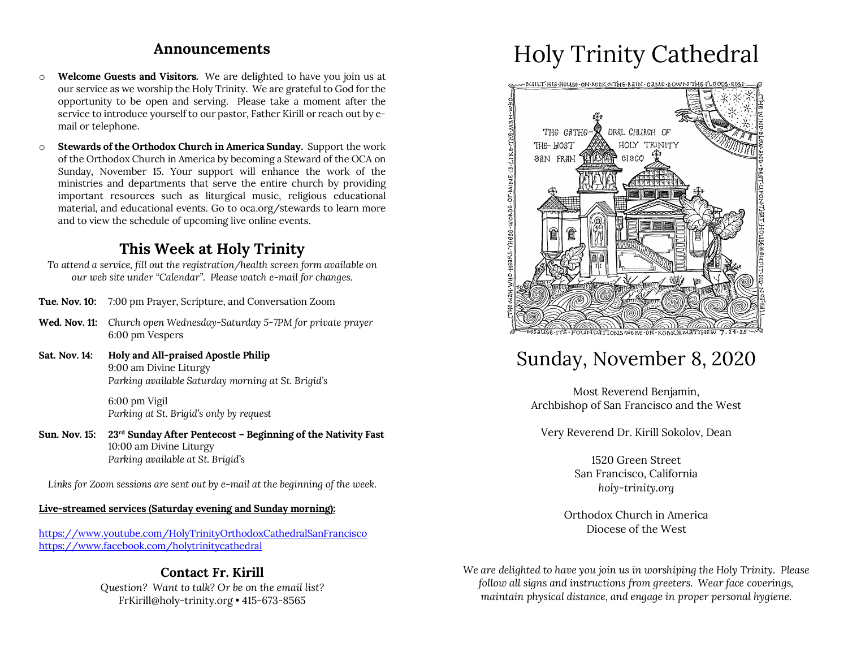#### **Announcements**

- o **Welcome Guests and Visitors.** We are delighted to have you join us at our service as we worship the Holy Trinity. We are grateful to God for the opportunity to be open and serving. Please take a moment after the service to introduce yourself to our pastor, Father Kirill or reach out by email or telephone.
- o **Stewards of the Orthodox Church in America Sunday.** Support the work of the Orthodox Church in America by becoming a Steward of the OCA on Sunday, November 15. Your support will enhance the work of the ministries and departments that serve the entire church by providing important resources such as liturgical music, religious educational material, and educational events. Go to oca.org/stewards to learn more and to view the schedule of upcoming live online events.

### **This Week at Holy Trinity**

*To attend a service, fill out the registration/health screen form available on our web site under "Calendar". Please watch e-mail for changes.*

- **Tue. Nov. 10:** 7:00 pm Prayer, Scripture, and Conversation Zoom
- **Wed. Nov. 11:** *Church open Wednesday-Saturday 5-7PM for private prayer* 6:00 pm Vespers
- **Sat. Nov. 14: Holy and All-praised Apostle Philip** 9:00 am Divine Liturgy *Parking available Saturday morning at St. Brigid's*

6:00 pm Vigil *Parking at St. Brigid's only by request*

**Sun. Nov. 15: 23rd Sunday After Pentecost – Beginning of the Nativity Fast** 10:00 am Divine Liturgy *Parking available at St. Brigid's*

*Links for Zoom sessions are sent out by e-mail at the beginning of the week.*

#### **Live-streamed services (Saturday evening and Sunday morning):**

https://www.youtube.com/HolyTrinityOrthodoxCathedralSanFrancisco https://www.facebook.com/holytrinitycathedral

#### **Contact Fr. Kirill**

*Question? Want to talk? Or be on the email list?* FrKirill@holy-trinity.org • 415-673-8565

# Holy Trinity Cathedral



# Sunday, November 8, 2020

Most Reverend Benjamin, Archbishop of San Francisco and the West

Very Reverend Dr. Kirill Sokolov, Dean

1520 Green Street San Francisco, California *holy-trinity.org*

Orthodox Church in America Diocese of the West

*We are delighted to have you join us in worshiping the Holy Trinity. Please follow all signs and instructions from greeters. Wear face coverings, maintain physical distance, and engage in proper personal hygiene.*